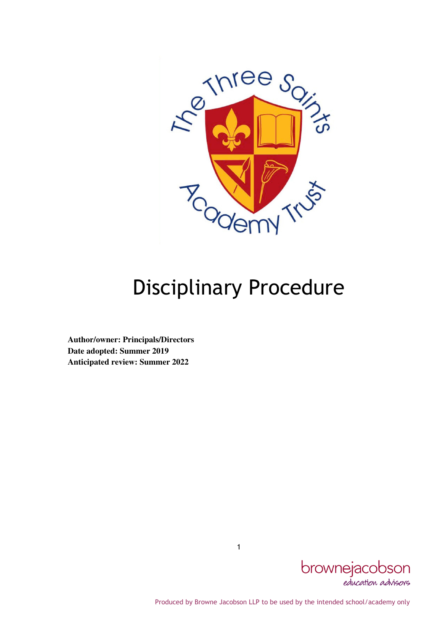

# Disciplinary Procedure

**Author/owner: Principals/Directors Date adopted: Summer 2019 Anticipated review: Summer 2022** 



Produced by Browne Jacobson LLP to be used by the intended school/academy only

1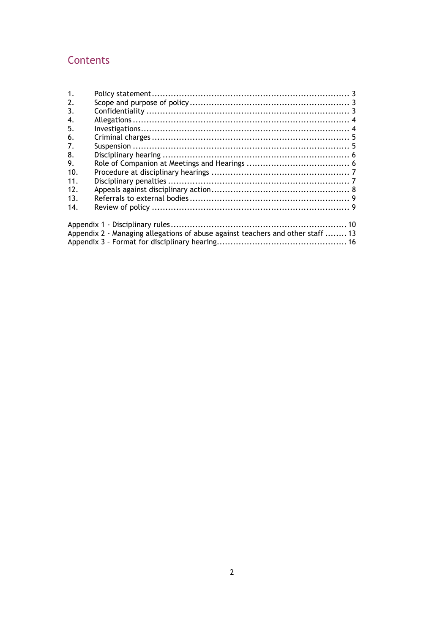# Contents

| $\mathbf{1}$ . |                                                                                 |  |
|----------------|---------------------------------------------------------------------------------|--|
| 2.             |                                                                                 |  |
| 3.             |                                                                                 |  |
| 4.             |                                                                                 |  |
| 5.             |                                                                                 |  |
| 6.             |                                                                                 |  |
| 7.             |                                                                                 |  |
| 8.             |                                                                                 |  |
| 9.             |                                                                                 |  |
| 10.            |                                                                                 |  |
| 11.            |                                                                                 |  |
| 12.            |                                                                                 |  |
| 13.            |                                                                                 |  |
| 14.            |                                                                                 |  |
|                |                                                                                 |  |
|                | Appendix 2 - Managing allegations of abuse against teachers and other staff  13 |  |
|                |                                                                                 |  |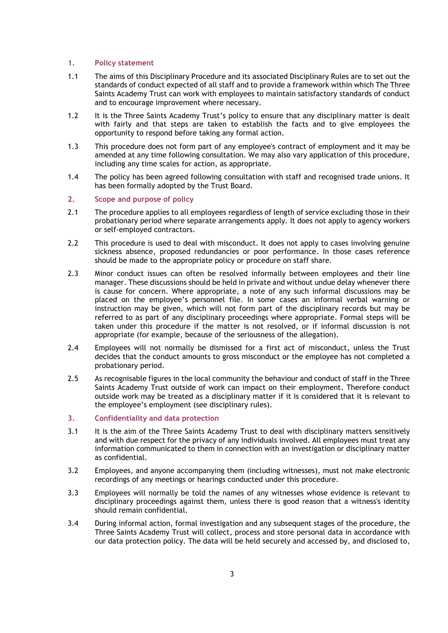#### 1. Policy statement

- 1.1 The aims of this Disciplinary Procedure and its associated Disciplinary Rules are to set out the standards of conduct expected of all staff and to provide a framework within which The Three Saints Academy Trust can work with employees to maintain satisfactory standards of conduct and to encourage improvement where necessary.
- 1.2 It is the Three Saints Academy Trust's policy to ensure that any disciplinary matter is dealt with fairly and that steps are taken to establish the facts and to give employees the opportunity to respond before taking any formal action.
- 1.3 This procedure does not form part of any employee's contract of employment and it may be amended at any time following consultation. We may also vary application of this procedure, including any time scales for action, as appropriate.
- 1.4 The policy has been agreed following consultation with staff and recognised trade unions. It has been formally adopted by the Trust Board.
- 2. Scope and purpose of policy
- 2.1 The procedure applies to all employees regardless of length of service excluding those in their probationary period where separate arrangements apply. It does not apply to agency workers or self-employed contractors.
- 2.2 This procedure is used to deal with misconduct. It does not apply to cases involving genuine sickness absence, proposed redundancies or poor performance. In those cases reference should be made to the appropriate policy or procedure on staff share.
- 2.3 Minor conduct issues can often be resolved informally between employees and their line manager. These discussions should be held in private and without undue delay whenever there is cause for concern. Where appropriate, a note of any such informal discussions may be placed on the employee's personnel file. In some cases an informal verbal warning or instruction may be given, which will not form part of the disciplinary records but may be referred to as part of any disciplinary proceedings where appropriate. Formal steps will be taken under this procedure if the matter is not resolved, or if informal discussion is not appropriate (for example, because of the seriousness of the allegation).
- 2.4 Employees will not normally be dismissed for a first act of misconduct, unless the Trust decides that the conduct amounts to gross misconduct or the employee has not completed a probationary period.
- 2.5 As recognisable figures in the local community the behaviour and conduct of staff in the Three Saints Academy Trust outside of work can impact on their employment. Therefore conduct outside work may be treated as a disciplinary matter if it is considered that it is relevant to the employee's employment (see disciplinary rules).
- 3. Confidentiality and data protection
- 3.1 It is the aim of the Three Saints Academy Trust to deal with disciplinary matters sensitively and with due respect for the privacy of any individuals involved. All employees must treat any information communicated to them in connection with an investigation or disciplinary matter as confidential.
- 3.2 Employees, and anyone accompanying them (including witnesses), must not make electronic recordings of any meetings or hearings conducted under this procedure.
- 3.3 Employees will normally be told the names of any witnesses whose evidence is relevant to disciplinary proceedings against them, unless there is good reason that a witness's identity should remain confidential.
- 3.4 During informal action, formal investigation and any subsequent stages of the procedure, the Three Saints Academy Trust will collect, process and store personal data in accordance with our data protection policy. The data will be held securely and accessed by, and disclosed to,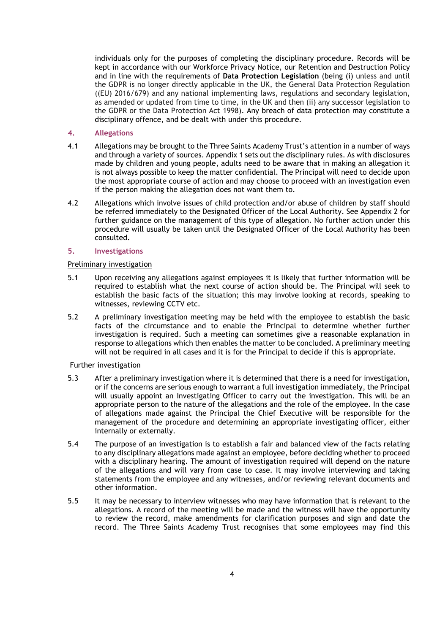individuals only for the purposes of completing the disciplinary procedure. Records will be kept in accordance with our Workforce Privacy Notice, our Retention and Destruction Policy and in line with the requirements of Data Protection Legislation (being (i) unless and until the GDPR is no longer directly applicable in the UK, the General Data Protection Regulation ((EU) 2016/679) and any national implementing laws, regulations and secondary legislation, as amended or updated from time to time, in the UK and then (ii) any successor legislation to the GDPR or the Data Protection Act 1998). Any breach of data protection may constitute a disciplinary offence, and be dealt with under this procedure.

#### 4. Allegations

- 4.1 Allegations may be brought to the Three Saints Academy Trust's attention in a number of ways and through a variety of sources. Appendix 1 sets out the disciplinary rules. As with disclosures made by children and young people, adults need to be aware that in making an allegation it is not always possible to keep the matter confidential. The Principal will need to decide upon the most appropriate course of action and may choose to proceed with an investigation even if the person making the allegation does not want them to.
- 4.2 Allegations which involve issues of child protection and/or abuse of children by staff should be referred immediately to the Designated Officer of the Local Authority. See Appendix 2 for further guidance on the management of this type of allegation. No further action under this procedure will usually be taken until the Designated Officer of the Local Authority has been consulted.

#### 5. Investigations

#### Preliminary investigation

- 5.1 Upon receiving any allegations against employees it is likely that further information will be required to establish what the next course of action should be. The Principal will seek to establish the basic facts of the situation; this may involve looking at records, speaking to witnesses, reviewing CCTV etc.
- 5.2 A preliminary investigation meeting may be held with the employee to establish the basic facts of the circumstance and to enable the Principal to determine whether further investigation is required. Such a meeting can sometimes give a reasonable explanation in response to allegations which then enables the matter to be concluded. A preliminary meeting will not be required in all cases and it is for the Principal to decide if this is appropriate.

#### Further investigation

- 5.3 After a preliminary investigation where it is determined that there is a need for investigation, or if the concerns are serious enough to warrant a full investigation immediately, the Principal will usually appoint an Investigating Officer to carry out the investigation. This will be an appropriate person to the nature of the allegations and the role of the employee. In the case of allegations made against the Principal the Chief Executive will be responsible for the management of the procedure and determining an appropriate investigating officer, either internally or externally.
- 5.4 The purpose of an investigation is to establish a fair and balanced view of the facts relating to any disciplinary allegations made against an employee, before deciding whether to proceed with a disciplinary hearing. The amount of investigation required will depend on the nature of the allegations and will vary from case to case. It may involve interviewing and taking statements from the employee and any witnesses, and/or reviewing relevant documents and other information.
- 5.5 It may be necessary to interview witnesses who may have information that is relevant to the allegations. A record of the meeting will be made and the witness will have the opportunity to review the record, make amendments for clarification purposes and sign and date the record. The Three Saints Academy Trust recognises that some employees may find this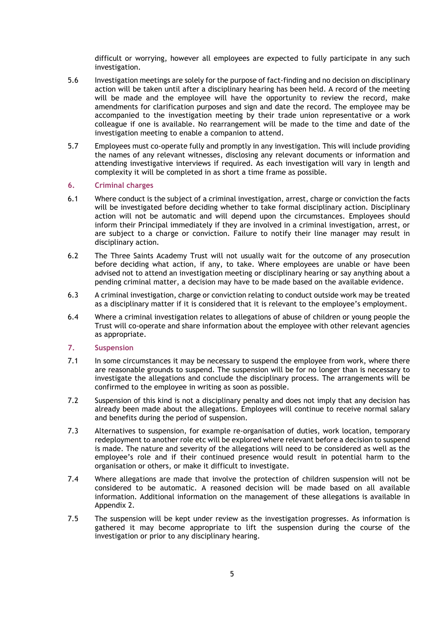difficult or worrying, however all employees are expected to fully participate in any such investigation.

- 5.6 Investigation meetings are solely for the purpose of fact-finding and no decision on disciplinary action will be taken until after a disciplinary hearing has been held. A record of the meeting will be made and the employee will have the opportunity to review the record, make amendments for clarification purposes and sign and date the record. The employee may be accompanied to the investigation meeting by their trade union representative or a work colleague if one is available. No rearrangement will be made to the time and date of the investigation meeting to enable a companion to attend.
- 5.7 Employees must co-operate fully and promptly in any investigation. This will include providing the names of any relevant witnesses, disclosing any relevant documents or information and attending investigative interviews if required. As each investigation will vary in length and complexity it will be completed in as short a time frame as possible.

#### 6. Criminal charges

- 6.1 Where conduct is the subject of a criminal investigation, arrest, charge or conviction the facts will be investigated before deciding whether to take formal disciplinary action. Disciplinary action will not be automatic and will depend upon the circumstances. Employees should inform their Principal immediately if they are involved in a criminal investigation, arrest, or are subject to a charge or conviction. Failure to notify their line manager may result in disciplinary action.
- 6.2 The Three Saints Academy Trust will not usually wait for the outcome of any prosecution before deciding what action, if any, to take. Where employees are unable or have been advised not to attend an investigation meeting or disciplinary hearing or say anything about a pending criminal matter, a decision may have to be made based on the available evidence.
- 6.3 A criminal investigation, charge or conviction relating to conduct outside work may be treated as a disciplinary matter if it is considered that it is relevant to the employee's employment.
- 6.4 Where a criminal investigation relates to allegations of abuse of children or young people the Trust will co-operate and share information about the employee with other relevant agencies as appropriate.

#### 7. Suspension

- 7.1 In some circumstances it may be necessary to suspend the employee from work, where there are reasonable grounds to suspend. The suspension will be for no longer than is necessary to investigate the allegations and conclude the disciplinary process. The arrangements will be confirmed to the employee in writing as soon as possible.
- 7.2 Suspension of this kind is not a disciplinary penalty and does not imply that any decision has already been made about the allegations. Employees will continue to receive normal salary and benefits during the period of suspension.
- 7.3 Alternatives to suspension, for example re-organisation of duties, work location, temporary redeployment to another role etc will be explored where relevant before a decision to suspend is made. The nature and severity of the allegations will need to be considered as well as the employee's role and if their continued presence would result in potential harm to the organisation or others, or make it difficult to investigate.
- 7.4 Where allegations are made that involve the protection of children suspension will not be considered to be automatic. A reasoned decision will be made based on all available information. Additional information on the management of these allegations is available in Appendix 2.
- 7.5 The suspension will be kept under review as the investigation progresses. As information is gathered it may become appropriate to lift the suspension during the course of the investigation or prior to any disciplinary hearing.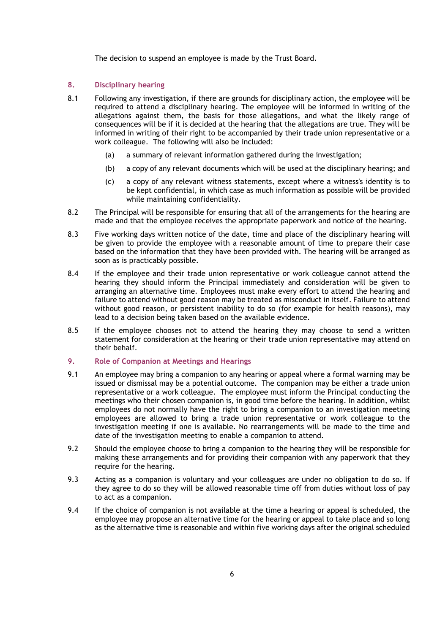The decision to suspend an employee is made by the Trust Board.

# 8. Disciplinary hearing

- 8.1 Following any investigation, if there are grounds for disciplinary action, the employee will be required to attend a disciplinary hearing. The employee will be informed in writing of the allegations against them, the basis for those allegations, and what the likely range of consequences will be if it is decided at the hearing that the allegations are true. They will be informed in writing of their right to be accompanied by their trade union representative or a work colleague. The following will also be included:
	- (a) a summary of relevant information gathered during the investigation;
	- (b) a copy of any relevant documents which will be used at the disciplinary hearing; and
	- (c) a copy of any relevant witness statements, except where a witness's identity is to be kept confidential, in which case as much information as possible will be provided while maintaining confidentiality.
- 8.2 The Principal will be responsible for ensuring that all of the arrangements for the hearing are made and that the employee receives the appropriate paperwork and notice of the hearing.
- 8.3 Five working days written notice of the date, time and place of the disciplinary hearing will be given to provide the employee with a reasonable amount of time to prepare their case based on the information that they have been provided with. The hearing will be arranged as soon as is practicably possible.
- 8.4 If the employee and their trade union representative or work colleague cannot attend the hearing they should inform the Principal immediately and consideration will be given to arranging an alternative time. Employees must make every effort to attend the hearing and failure to attend without good reason may be treated as misconduct in itself. Failure to attend without good reason, or persistent inability to do so (for example for health reasons), may lead to a decision being taken based on the available evidence.
- 8.5 If the employee chooses not to attend the hearing they may choose to send a written statement for consideration at the hearing or their trade union representative may attend on their behalf.

# 9. Role of Companion at Meetings and Hearings

- 9.1 An employee may bring a companion to any hearing or appeal where a formal warning may be issued or dismissal may be a potential outcome. The companion may be either a trade union representative or a work colleague. The employee must inform the Principal conducting the meetings who their chosen companion is, in good time before the hearing. In addition, whilst employees do not normally have the right to bring a companion to an investigation meeting employees are allowed to bring a trade union representative or work colleague to the investigation meeting if one is available. No rearrangements will be made to the time and date of the investigation meeting to enable a companion to attend.
- 9.2 Should the employee choose to bring a companion to the hearing they will be responsible for making these arrangements and for providing their companion with any paperwork that they require for the hearing.
- 9.3 Acting as a companion is voluntary and your colleagues are under no obligation to do so. If they agree to do so they will be allowed reasonable time off from duties without loss of pay to act as a companion.
- 9.4 If the choice of companion is not available at the time a hearing or appeal is scheduled, the employee may propose an alternative time for the hearing or appeal to take place and so long as the alternative time is reasonable and within five working days after the original scheduled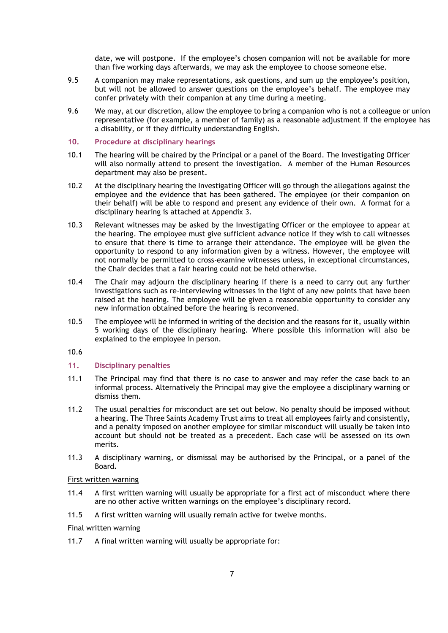date, we will postpone. If the employee's chosen companion will not be available for more than five working days afterwards, we may ask the employee to choose someone else.

- 9.5 A companion may make representations, ask questions, and sum up the employee's position, but will not be allowed to answer questions on the employee's behalf. The employee may confer privately with their companion at any time during a meeting.
- 9.6 We may, at our discretion, allow the employee to bring a companion who is not a colleague or union representative (for example, a member of family) as a reasonable adjustment if the employee has a disability, or if they difficulty understanding English.
- 10. Procedure at disciplinary hearings
- 10.1 The hearing will be chaired by the Principal or a panel of the Board. The Investigating Officer will also normally attend to present the investigation. A member of the Human Resources department may also be present.
- 10.2 At the disciplinary hearing the Investigating Officer will go through the allegations against the employee and the evidence that has been gathered. The employee (or their companion on their behalf) will be able to respond and present any evidence of their own. A format for a disciplinary hearing is attached at Appendix 3.
- 10.3 Relevant witnesses may be asked by the Investigating Officer or the employee to appear at the hearing. The employee must give sufficient advance notice if they wish to call witnesses to ensure that there is time to arrange their attendance. The employee will be given the opportunity to respond to any information given by a witness. However, the employee will not normally be permitted to cross-examine witnesses unless, in exceptional circumstances, the Chair decides that a fair hearing could not be held otherwise.
- 10.4 The Chair may adjourn the disciplinary hearing if there is a need to carry out any further investigations such as re-interviewing witnesses in the light of any new points that have been raised at the hearing. The employee will be given a reasonable opportunity to consider any new information obtained before the hearing is reconvened.
- 10.5 The employee will be informed in writing of the decision and the reasons for it, usually within 5 working days of the disciplinary hearing. Where possible this information will also be explained to the employee in person.

10.6

# 11. Disciplinary penalties

- 11.1 The Principal may find that there is no case to answer and may refer the case back to an informal process. Alternatively the Principal may give the employee a disciplinary warning or dismiss them.
- 11.2 The usual penalties for misconduct are set out below. No penalty should be imposed without a hearing. The Three Saints Academy Trust aims to treat all employees fairly and consistently, and a penalty imposed on another employee for similar misconduct will usually be taken into account but should not be treated as a precedent. Each case will be assessed on its own merits.
- 11.3 A disciplinary warning, or dismissal may be authorised by the Principal, or a panel of the Board.

#### First written warning

- 11.4 A first written warning will usually be appropriate for a first act of misconduct where there are no other active written warnings on the employee's disciplinary record.
- 11.5 A first written warning will usually remain active for twelve months.

# Final written warning

11.7 A final written warning will usually be appropriate for: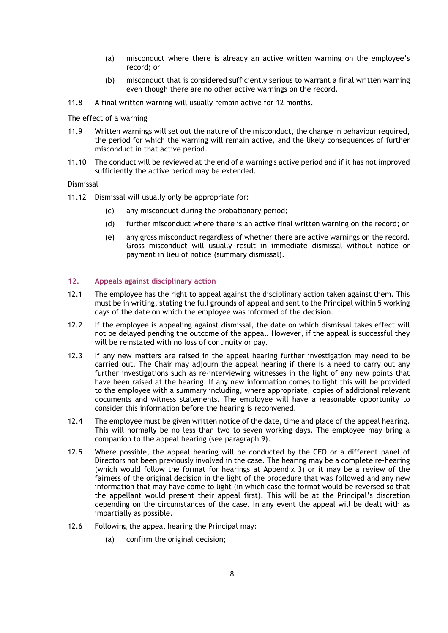- (a) misconduct where there is already an active written warning on the employee's record; or
- (b) misconduct that is considered sufficiently serious to warrant a final written warning even though there are no other active warnings on the record.
- 11.8 A final written warning will usually remain active for 12 months.

#### The effect of a warning

- 11.9 Written warnings will set out the nature of the misconduct, the change in behaviour required, the period for which the warning will remain active, and the likely consequences of further misconduct in that active period.
- 11.10 The conduct will be reviewed at the end of a warning's active period and if it has not improved sufficiently the active period may be extended.

#### Dismissal

- 11.12 Dismissal will usually only be appropriate for:
	- (c) any misconduct during the probationary period;
	- (d) further misconduct where there is an active final written warning on the record; or
	- (e) any gross misconduct regardless of whether there are active warnings on the record. Gross misconduct will usually result in immediate dismissal without notice or payment in lieu of notice (summary dismissal).

#### 12. Appeals against disciplinary action

- 12.1 The employee has the right to appeal against the disciplinary action taken against them. This must be in writing, stating the full grounds of appeal and sent to the Principal within 5 working days of the date on which the employee was informed of the decision.
- 12.2 If the employee is appealing against dismissal, the date on which dismissal takes effect will not be delayed pending the outcome of the appeal. However, if the appeal is successful they will be reinstated with no loss of continuity or pay.
- 12.3 If any new matters are raised in the appeal hearing further investigation may need to be carried out. The Chair may adjourn the appeal hearing if there is a need to carry out any further investigations such as re-interviewing witnesses in the light of any new points that have been raised at the hearing. If any new information comes to light this will be provided to the employee with a summary including, where appropriate, copies of additional relevant documents and witness statements. The employee will have a reasonable opportunity to consider this information before the hearing is reconvened.
- 12.4 The employee must be given written notice of the date, time and place of the appeal hearing. This will normally be no less than two to seven working days. The employee may bring a companion to the appeal hearing (see paragraph 9).
- 12.5 Where possible, the appeal hearing will be conducted by the CEO or a different panel of Directors not been previously involved in the case. The hearing may be a complete re-hearing (which would follow the format for hearings at Appendix 3) or it may be a review of the fairness of the original decision in the light of the procedure that was followed and any new information that may have come to light (in which case the format would be reversed so that the appellant would present their appeal first). This will be at the Principal's discretion depending on the circumstances of the case. In any event the appeal will be dealt with as impartially as possible.
- 12.6 Following the appeal hearing the Principal may:
	- (a) confirm the original decision;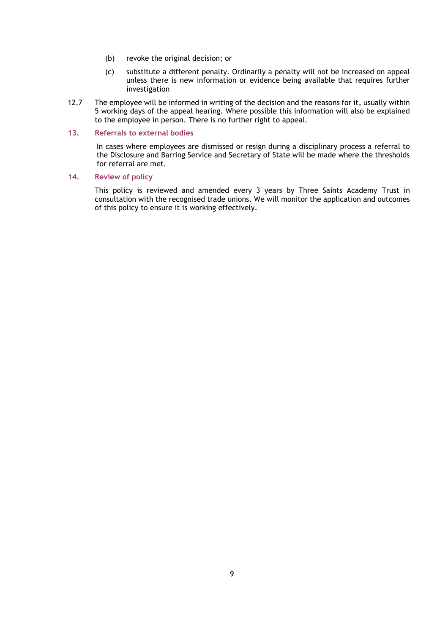- (b) revoke the original decision; or
- (c) substitute a different penalty. Ordinarily a penalty will not be increased on appeal unless there is new information or evidence being available that requires further investigation
- 12.7 The employee will be informed in writing of the decision and the reasons for it, usually within 5 working days of the appeal hearing. Where possible this information will also be explained to the employee in person. There is no further right to appeal.

#### 13. Referrals to external bodies

In cases where employees are dismissed or resign during a disciplinary process a referral to the Disclosure and Barring Service and Secretary of State will be made where the thresholds for referral are met.

## 14. Review of policy

This policy is reviewed and amended every 3 years by Three Saints Academy Trust in consultation with the recognised trade unions. We will monitor the application and outcomes of this policy to ensure it is working effectively.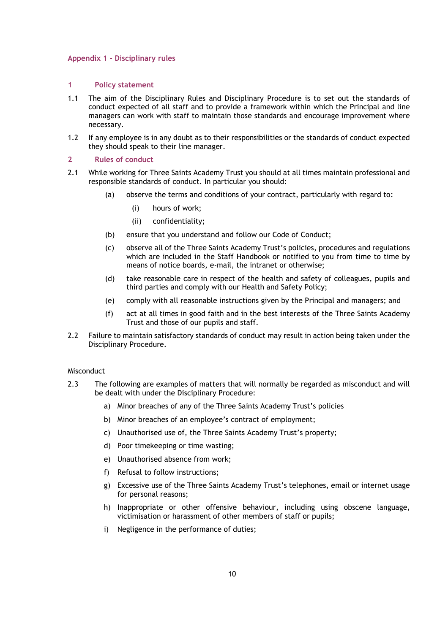#### Appendix 1 - Disciplinary rules

#### 1 Policy statement

- 1.1 The aim of the Disciplinary Rules and Disciplinary Procedure is to set out the standards of conduct expected of all staff and to provide a framework within which the Principal and line managers can work with staff to maintain those standards and encourage improvement where necessary.
- 1.2 If any employee is in any doubt as to their responsibilities or the standards of conduct expected they should speak to their line manager.

#### 2 Rules of conduct

- 2.1 While working for Three Saints Academy Trust you should at all times maintain professional and responsible standards of conduct. In particular you should:
	- (a) observe the terms and conditions of your contract, particularly with regard to:
		- (i) hours of work;
		- (ii) confidentiality;
	- (b) ensure that you understand and follow our Code of Conduct;
	- (c) observe all of the Three Saints Academy Trust's policies, procedures and regulations which are included in the Staff Handbook or notified to you from time to time by means of notice boards, e-mail, the intranet or otherwise;
	- (d) take reasonable care in respect of the health and safety of colleagues, pupils and third parties and comply with our Health and Safety Policy;
	- (e) comply with all reasonable instructions given by the Principal and managers; and
	- (f) act at all times in good faith and in the best interests of the Three Saints Academy Trust and those of our pupils and staff.
- 2.2 Failure to maintain satisfactory standards of conduct may result in action being taken under the Disciplinary Procedure.

#### Misconduct

- 2.3 The following are examples of matters that will normally be regarded as misconduct and will be dealt with under the Disciplinary Procedure:
	- a) Minor breaches of any of the Three Saints Academy Trust's policies
	- b) Minor breaches of an employee's contract of employment;
	- c) Unauthorised use of, the Three Saints Academy Trust's property;
	- d) Poor timekeeping or time wasting;
	- e) Unauthorised absence from work;
	- f) Refusal to follow instructions;
	- g) Excessive use of the Three Saints Academy Trust's telephones, email or internet usage for personal reasons;
	- h) Inappropriate or other offensive behaviour, including using obscene language, victimisation or harassment of other members of staff or pupils;
	- i) Negligence in the performance of duties;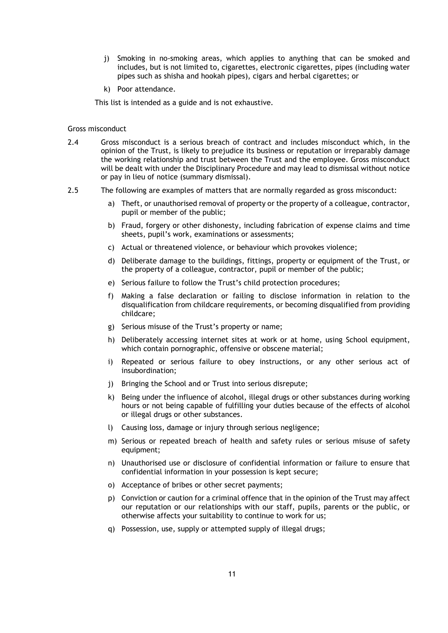- j) Smoking in no-smoking areas, which applies to anything that can be smoked and includes, but is not limited to, cigarettes, electronic cigarettes, pipes (including water pipes such as shisha and hookah pipes), cigars and herbal cigarettes; or
- k) Poor attendance.

This list is intended as a guide and is not exhaustive.

#### Gross misconduct

- 2.4 Gross misconduct is a serious breach of contract and includes misconduct which, in the opinion of the Trust, is likely to prejudice its business or reputation or irreparably damage the working relationship and trust between the Trust and the employee. Gross misconduct will be dealt with under the Disciplinary Procedure and may lead to dismissal without notice or pay in lieu of notice (summary dismissal).
- 2.5 The following are examples of matters that are normally regarded as gross misconduct:
	- a) Theft, or unauthorised removal of property or the property of a colleague, contractor, pupil or member of the public;
	- b) Fraud, forgery or other dishonesty, including fabrication of expense claims and time sheets, pupil's work, examinations or assessments;
	- c) Actual or threatened violence, or behaviour which provokes violence;
	- d) Deliberate damage to the buildings, fittings, property or equipment of the Trust, or the property of a colleague, contractor, pupil or member of the public;
	- e) Serious failure to follow the Trust's child protection procedures;
	- f) Making a false declaration or failing to disclose information in relation to the disqualification from childcare requirements, or becoming disqualified from providing childcare;
	- g) Serious misuse of the Trust's property or name;
	- h) Deliberately accessing internet sites at work or at home, using School equipment, which contain pornographic, offensive or obscene material;
	- i) Repeated or serious failure to obey instructions, or any other serious act of insubordination;
	- j) Bringing the School and or Trust into serious disrepute;
	- k) Being under the influence of alcohol, illegal drugs or other substances during working hours or not being capable of fulfilling your duties because of the effects of alcohol or illegal drugs or other substances.
	- l) Causing loss, damage or injury through serious negligence;
	- m) Serious or repeated breach of health and safety rules or serious misuse of safety equipment;
	- n) Unauthorised use or disclosure of confidential information or failure to ensure that confidential information in your possession is kept secure;
	- o) Acceptance of bribes or other secret payments;
	- p) Conviction or caution for a criminal offence that in the opinion of the Trust may affect our reputation or our relationships with our staff, pupils, parents or the public, or otherwise affects your suitability to continue to work for us;
	- q) Possession, use, supply or attempted supply of illegal drugs;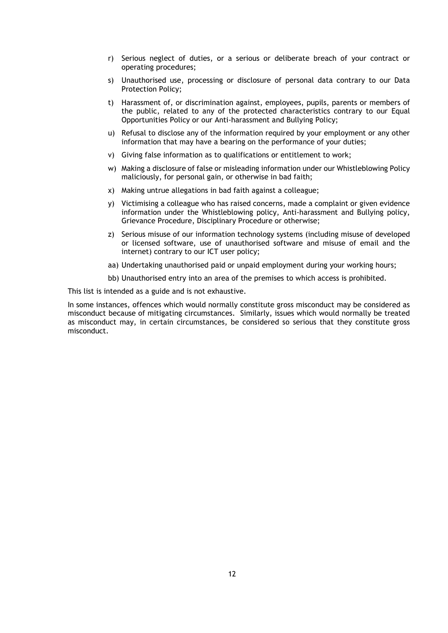- r) Serious neglect of duties, or a serious or deliberate breach of your contract or operating procedures;
- s) Unauthorised use, processing or disclosure of personal data contrary to our Data Protection Policy;
- t) Harassment of, or discrimination against, employees, pupils, parents or members of the public, related to any of the protected characteristics contrary to our Equal Opportunities Policy or our Anti-harassment and Bullying Policy;
- u) Refusal to disclose any of the information required by your employment or any other information that may have a bearing on the performance of your duties;
- v) Giving false information as to qualifications or entitlement to work;
- w) Making a disclosure of false or misleading information under our Whistleblowing Policy maliciously, for personal gain, or otherwise in bad faith;
- x) Making untrue allegations in bad faith against a colleague;
- y) Victimising a colleague who has raised concerns, made a complaint or given evidence information under the Whistleblowing policy, Anti-harassment and Bullying policy, Grievance Procedure, Disciplinary Procedure or otherwise;
- z) Serious misuse of our information technology systems (including misuse of developed or licensed software, use of unauthorised software and misuse of email and the internet) contrary to our ICT user policy;
- aa) Undertaking unauthorised paid or unpaid employment during your working hours;
- bb) Unauthorised entry into an area of the premises to which access is prohibited.

This list is intended as a guide and is not exhaustive.

In some instances, offences which would normally constitute gross misconduct may be considered as misconduct because of mitigating circumstances. Similarly, issues which would normally be treated as misconduct may, in certain circumstances, be considered so serious that they constitute gross misconduct.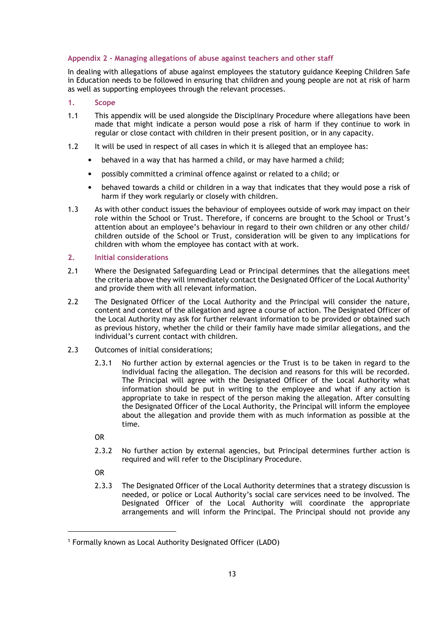# Appendix 2 - Managing allegations of abuse against teachers and other staff

In dealing with allegations of abuse against employees the statutory guidance Keeping Children Safe in Education needs to be followed in ensuring that children and young people are not at risk of harm as well as supporting employees through the relevant processes.

#### 1. Scope

- 1.1 This appendix will be used alongside the Disciplinary Procedure where allegations have been made that might indicate a person would pose a risk of harm if they continue to work in regular or close contact with children in their present position, or in any capacity.
- 1.2 It will be used in respect of all cases in which it is alleged that an employee has:
	- behaved in a way that has harmed a child, or may have harmed a child;
	- possibly committed a criminal offence against or related to a child; or
	- behaved towards a child or children in a way that indicates that they would pose a risk of harm if they work regularly or closely with children.
- 1.3 As with other conduct issues the behaviour of employees outside of work may impact on their role within the School or Trust. Therefore, if concerns are brought to the School or Trust's attention about an employee's behaviour in regard to their own children or any other child/ children outside of the School or Trust, consideration will be given to any implications for children with whom the employee has contact with at work.

#### 2. Initial considerations

- 2.1 Where the Designated Safeguarding Lead or Principal determines that the allegations meet the criteria above they will immediately contact the Designated Officer of the Local Authority<sup>1</sup> and provide them with all relevant information.
- 2.2 The Designated Officer of the Local Authority and the Principal will consider the nature, content and context of the allegation and agree a course of action. The Designated Officer of the Local Authority may ask for further relevant information to be provided or obtained such as previous history, whether the child or their family have made similar allegations, and the individual's current contact with children.
- 2.3 Outcomes of initial considerations;
	- 2.3.1 No further action by external agencies or the Trust is to be taken in regard to the individual facing the allegation. The decision and reasons for this will be recorded. The Principal will agree with the Designated Officer of the Local Authority what information should be put in writing to the employee and what if any action is appropriate to take in respect of the person making the allegation. After consulting the Designated Officer of the Local Authority, the Principal will inform the employee about the allegation and provide them with as much information as possible at the time.
	- OR
	- 2.3.2 No further action by external agencies, but Principal determines further action is required and will refer to the Disciplinary Procedure.
	- OR

l

2.3.3 The Designated Officer of the Local Authority determines that a strategy discussion is needed, or police or Local Authority's social care services need to be involved. The Designated Officer of the Local Authority will coordinate the appropriate arrangements and will inform the Principal. The Principal should not provide any

<sup>1</sup> Formally known as Local Authority Designated Officer (LADO)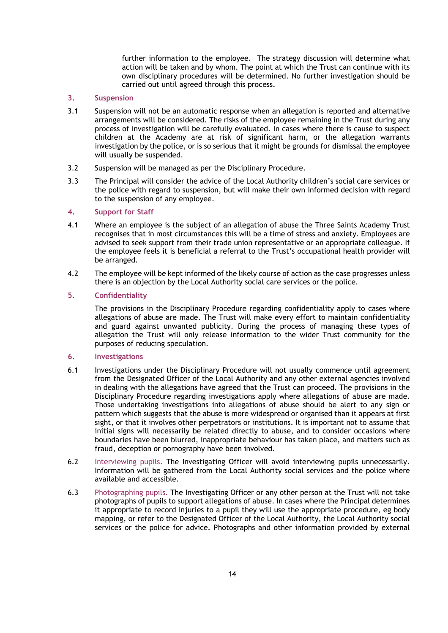further information to the employee. The strategy discussion will determine what action will be taken and by whom. The point at which the Trust can continue with its own disciplinary procedures will be determined. No further investigation should be carried out until agreed through this process.

# 3. Suspension

- 3.1 Suspension will not be an automatic response when an allegation is reported and alternative arrangements will be considered. The risks of the employee remaining in the Trust during any process of investigation will be carefully evaluated. In cases where there is cause to suspect children at the Academy are at risk of significant harm, or the allegation warrants investigation by the police, or is so serious that it might be grounds for dismissal the employee will usually be suspended.
- 3.2 Suspension will be managed as per the Disciplinary Procedure.
- 3.3 The Principal will consider the advice of the Local Authority children's social care services or the police with regard to suspension, but will make their own informed decision with regard to the suspension of any employee.

# 4. Support for Staff

- 4.1 Where an employee is the subject of an allegation of abuse the Three Saints Academy Trust recognises that in most circumstances this will be a time of stress and anxiety. Employees are advised to seek support from their trade union representative or an appropriate colleague. If the employee feels it is beneficial a referral to the Trust's occupational health provider will be arranged.
- 4.2 The employee will be kept informed of the likely course of action as the case progresses unless there is an objection by the Local Authority social care services or the police.

# 5. Confidentiality

 The provisions in the Disciplinary Procedure regarding confidentiality apply to cases where allegations of abuse are made. The Trust will make every effort to maintain confidentiality and guard against unwanted publicity. During the process of managing these types of allegation the Trust will only release information to the wider Trust community for the purposes of reducing speculation.

#### 6. Investigations

- 6.1 Investigations under the Disciplinary Procedure will not usually commence until agreement from the Designated Officer of the Local Authority and any other external agencies involved in dealing with the allegations have agreed that the Trust can proceed. The provisions in the Disciplinary Procedure regarding investigations apply where allegations of abuse are made. Those undertaking investigations into allegations of abuse should be alert to any sign or pattern which suggests that the abuse is more widespread or organised than it appears at first sight, or that it involves other perpetrators or institutions. It is important not to assume that initial signs will necessarily be related directly to abuse, and to consider occasions where boundaries have been blurred, inappropriate behaviour has taken place, and matters such as fraud, deception or pornography have been involved.
- 6.2 Interviewing pupils. The Investigating Officer will avoid interviewing pupils unnecessarily. Information will be gathered from the Local Authority social services and the police where available and accessible.
- 6.3 Photographing pupils. The Investigating Officer or any other person at the Trust will not take photographs of pupils to support allegations of abuse. In cases where the Principal determines it appropriate to record injuries to a pupil they will use the appropriate procedure, eg body mapping, or refer to the Designated Officer of the Local Authority, the Local Authority social services or the police for advice. Photographs and other information provided by external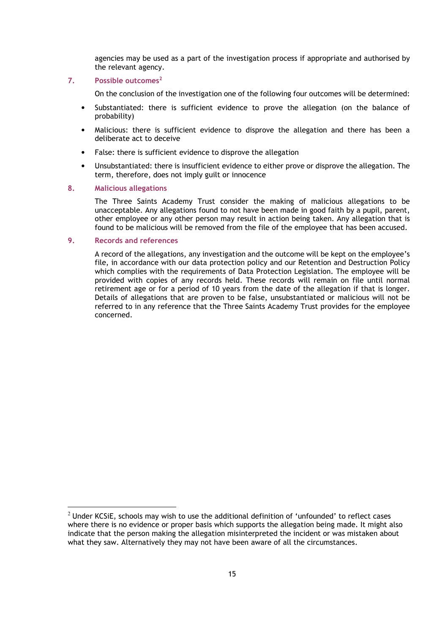agencies may be used as a part of the investigation process if appropriate and authorised by the relevant agency.

#### 7. Possible outcomes<sup>2</sup>

On the conclusion of the investigation one of the following four outcomes will be determined:

- Substantiated: there is sufficient evidence to prove the allegation (on the balance of probability)
- Malicious: there is sufficient evidence to disprove the allegation and there has been a deliberate act to deceive
- False: there is sufficient evidence to disprove the allegation
- Unsubstantiated: there is insufficient evidence to either prove or disprove the allegation. The term, therefore, does not imply guilt or innocence

#### 8. Malicious allegations

The Three Saints Academy Trust consider the making of malicious allegations to be unacceptable. Any allegations found to not have been made in good faith by a pupil, parent, other employee or any other person may result in action being taken. Any allegation that is found to be malicious will be removed from the file of the employee that has been accused.

#### 9. Records and references

 $\overline{a}$ 

 A record of the allegations, any investigation and the outcome will be kept on the employee's file, in accordance with our data protection policy and our Retention and Destruction Policy which complies with the requirements of Data Protection Legislation. The employee will be provided with copies of any records held. These records will remain on file until normal retirement age or for a period of 10 years from the date of the allegation if that is longer. Details of allegations that are proven to be false, unsubstantiated or malicious will not be referred to in any reference that the Three Saints Academy Trust provides for the employee concerned.

 $<sup>2</sup>$  Under KCSiE, schools may wish to use the additional definition of 'unfounded' to reflect cases</sup> where there is no evidence or proper basis which supports the allegation being made. It might also indicate that the person making the allegation misinterpreted the incident or was mistaken about what they saw. Alternatively they may not have been aware of all the circumstances.